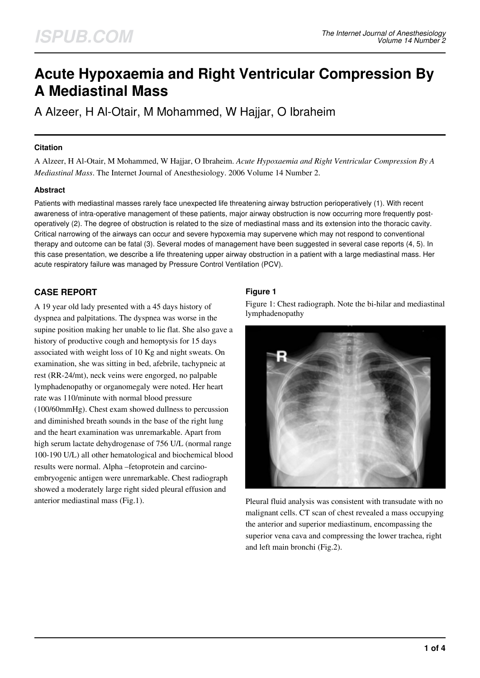# **Acute Hypoxaemia and Right Ventricular Compression By A Mediastinal Mass**

A Alzeer, H Al-Otair, M Mohammed, W Hajjar, O Ibraheim

# **Citation**

A Alzeer, H Al-Otair, M Mohammed, W Hajjar, O Ibraheim. *Acute Hypoxaemia and Right Ventricular Compression By A Mediastinal Mass*. The Internet Journal of Anesthesiology. 2006 Volume 14 Number 2.

## **Abstract**

Patients with mediastinal masses rarely face unexpected life threatening airway bstruction perioperatively (1). With recent awareness of intra-operative management of these patients, major airway obstruction is now occurring more frequently postoperatively (2). The degree of obstruction is related to the size of mediastinal mass and its extension into the thoracic cavity. Critical narrowing of the airways can occur and severe hypoxemia may supervene which may not respond to conventional therapy and outcome can be fatal (3). Several modes of management have been suggested in several case reports (4, 5). In this case presentation, we describe a life threatening upper airway obstruction in a patient with a large mediastinal mass. Her acute respiratory failure was managed by Pressure Control Ventilation (PCV).

# **CASE REPORT**

A 19 year old lady presented with a 45 days history of dyspnea and palpitations. The dyspnea was worse in the supine position making her unable to lie flat. She also gave a history of productive cough and hemoptysis for 15 days associated with weight loss of 10 Kg and night sweats. On examination, she was sitting in bed, afebrile, tachypneic at rest (RR-24/mt), neck veins were engorged, no palpable lymphadenopathy or organomegaly were noted. Her heart rate was 110/minute with normal blood pressure (100/60mmHg). Chest exam showed dullness to percussion and diminished breath sounds in the base of the right lung and the heart examination was unremarkable. Apart from high serum lactate dehydrogenase of 756 U/L (normal range 100-190 U/L) all other hematological and biochemical blood results were normal. Alpha –fetoprotein and carcinoembryogenic antigen were unremarkable. Chest radiograph showed a moderately large right sided pleural effusion and anterior mediastinal mass (Fig.1).

# **Figure 1**

Figure 1: Chest radiograph. Note the bi-hilar and mediastinal lymphadenopathy



Pleural fluid analysis was consistent with transudate with no malignant cells. CT scan of chest revealed a mass occupying the anterior and superior mediastinum, encompassing the superior vena cava and compressing the lower trachea, right and left main bronchi (Fig.2).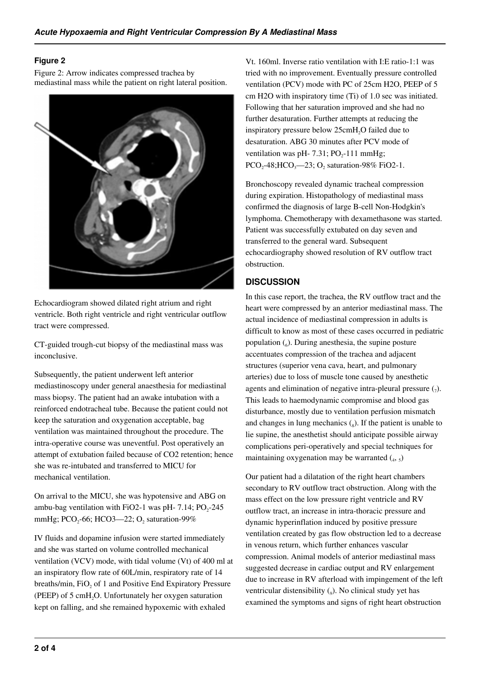# **Figure 2**

Figure 2: Arrow indicates compressed trachea by mediastinal mass while the patient on right lateral position.



Echocardiogram showed dilated right atrium and right ventricle. Both right ventricle and right ventricular outflow tract were compressed.

CT-guided trough-cut biopsy of the mediastinal mass was inconclusive.

Subsequently, the patient underwent left anterior mediastinoscopy under general anaesthesia for mediastinal mass biopsy. The patient had an awake intubation with a reinforced endotracheal tube. Because the patient could not keep the saturation and oxygenation acceptable, bag ventilation was maintained throughout the procedure. The intra-operative course was uneventful. Post operatively an attempt of extubation failed because of CO2 retention; hence she was re-intubated and transferred to MICU for mechanical ventilation.

On arrival to the MICU, she was hypotensive and ABG on ambu-bag ventilation with FiO2-1 was pH-  $7.14$ ; PO<sub>2</sub>-245 mmHg; PCO<sub>2</sub>-66; HCO3—22; O<sub>2</sub> saturation-99%

IV fluids and dopamine infusion were started immediately and she was started on volume controlled mechanical ventilation (VCV) mode, with tidal volume (Vt) of 400 ml at an inspiratory flow rate of 60L/min, respiratory rate of 14 breaths/min,  $FiO<sub>2</sub>$  of 1 and Positive End Expiratory Pressure (PEEP) of  $5 \text{ cm}H_2O$ . Unfortunately her oxygen saturation kept on falling, and she remained hypoxemic with exhaled

Vt. 160ml. Inverse ratio ventilation with I:E ratio-1:1 was tried with no improvement. Eventually pressure controlled ventilation (PCV) mode with PC of 25cm H2O, PEEP of 5 cm H2O with inspiratory time (Ti) of 1.0 sec was initiated. Following that her saturation improved and she had no further desaturation. Further attempts at reducing the inspiratory pressure below 25cmH<sub>2</sub>O failed due to desaturation. ABG 30 minutes after PCV mode of ventilation was pH- 7.31;  $PO<sub>2</sub>$ -111 mmHg;  $PCO<sub>2</sub> - 48$ ; HCO<sub>3</sub>—23; O<sub>2</sub> saturation-98% FiO2-1.

Bronchoscopy revealed dynamic tracheal compression during expiration. Histopathology of mediastinal mass confirmed the diagnosis of large B-cell Non-Hodgkin's lymphoma. Chemotherapy with dexamethasone was started. Patient was successfully extubated on day seven and transferred to the general ward. Subsequent echocardiography showed resolution of RV outflow tract obstruction.

# **DISCUSSION**

In this case report, the trachea, the RV outflow tract and the heart were compressed by an anterior mediastinal mass. The actual incidence of mediastinal compression in adults is difficult to know as most of these cases occurred in pediatric population  $\binom{6}{6}$ . During anesthesia, the supine posture accentuates compression of the trachea and adjacent structures (superior vena cava, heart, and pulmonary arteries) due to loss of muscle tone caused by anesthetic agents and elimination of negative intra-pleural pressure  $(7)$ . This leads to haemodynamic compromise and blood gas disturbance, mostly due to ventilation perfusion mismatch and changes in lung mechanics  $\binom{1}{s}$ . If the patient is unable to lie supine, the anesthetist should anticipate possible airway complications peri-operatively and special techniques for maintaining oxygenation may be warranted  $\left(4, 5\right)$ 

Our patient had a dilatation of the right heart chambers secondary to RV outflow tract obstruction. Along with the mass effect on the low pressure right ventricle and RV outflow tract, an increase in intra-thoracic pressure and dynamic hyperinflation induced by positive pressure ventilation created by gas flow obstruction led to a decrease in venous return, which further enhances vascular compression. Animal models of anterior mediastinal mass suggested decrease in cardiac output and RV enlargement due to increase in RV afterload with impingement of the left ventricular distensibility  $(_{9})$ . No clinical study yet has examined the symptoms and signs of right heart obstruction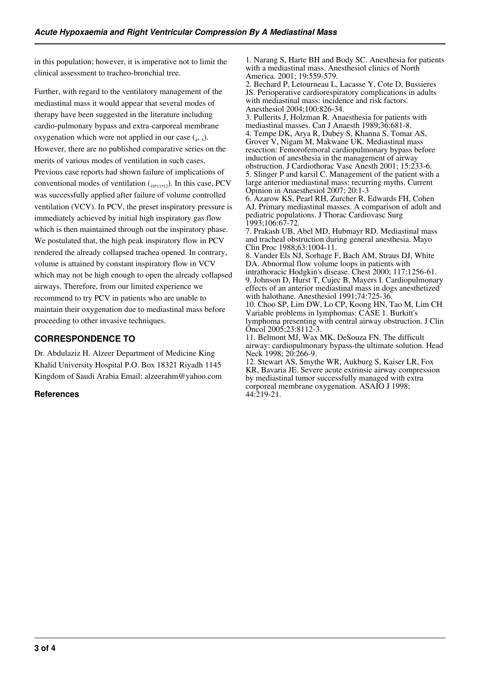in this population; however, it is imperative not to limit the clinical assessment to tracheo-bronchial tree.

Further, with regard to the ventilatory management of the mediastinal mass it would appear that several modes of therapy have been suggested in the literature including cardio-pulmonary bypass and extra-carporeal membrane oxygenation which were not applied in our case  $(_4, _5)$ . However, there are no published comparative series on the merits of various modes of ventilation in such cases. Previous case reports had shown failure of implications of conventional modes of ventilation  $_{(10,11,12)}$ . In this case, PCV was successfully applied after failure of volume controlled ventilation (VCV). In PCV, the preset inspiratory pressure is immediately achieved by initial high inspiratory gas flow which is then maintained through out the inspiratory phase. We postulated that, the high peak inspiratory flow in PCV rendered the already collapsed trachea opened. In contrary, volume is attained by constant inspiratory flow in VCV which may not be high enough to open the already collapsed airways. Therefore, from our limited experience we recommend to try PCV in patients who are unable to maintain their oxygenation due to mediastinal mass before proceeding to other invasive techniques.

# **CORRESPONDENCE TO**

Dr. Abdulaziz H. Alzeer Department of Medicine King Khalid University Hospital P.O. Box 18321 Riyadh 1145 Kingdom of Saudi Arabia Email: alzeerahm@yahoo.com

# **References**

1. Narang S, Harte BH and Body SC. Anesthesia for patients with a mediastinal mass. Anesthesiol clinics of North America. 2001; 19:559-579.

2. Bechard P, Letourneau L, Lacasse Y, Cote D, Bussieres JS. Perioperative cardiorespiratory complications in adults with mediastinal mass: incidence and risk factors. Anesthesiol 2004;100:826-34.

3. Pullerits J, Holzman R. Anaesthesia for patients with mediastinal masses. Can J Anaesth 1989;36:681-8. 4. Tempe DK, Arya R, Dubey S, Khanna S, Tomar AS, Grover V, Nigam M, Makwane UK. Mediastinal mass resection: Femorofemoral cardiopulmonary bypass before induction of anesthesia in the management of airway obstruction. J Cardiothorac Vasc Anesth 2001; 15:233-6. 5. Slinger P and karsil C. Management of the patient with a large anterior mediastinal mass: recurring myths. Current Opinion in Anaesthesiol 2007; 20:1-3

6. Azarow KS, Pearl RH, Zurcher R, Edwards FH, Cohen AJ. Primary mediastinal masses. A comparison of adult and pediatric populations. J Thorac Cardiovasc Surg 1993;106:67-72.

7. Prakash UB, Abel MD, Hubmayr RD. Mediastinal mass and tracheal obstruction during general anesthesia. Mayo Clin Proc 1988;63:1004-11.

8. Vander Els NJ, Sorhage F, Bach AM, Straus DJ, White DA. Abnormal flow volume loops in patients with intrathoracic Hodgkin's disease. Chest 2000; 117:1256-61. 9. Johnson D, Hurst T, Cujec B, Mayers I. Cardiopulmonary effects of an anterior mediastinal mass in dogs anesthetized with halothane. Anesthesiol 1991;74:725-36. 10. Choo SP, Lim DW, Lo CP, Koong HN, Tao M, Lim CH

Variable problems in lymphomas: CASE 1. Burkitt's lymphoma presenting with central airway obstruction. J Clin Oncol 2005;23:8112-3.

11. Belmont MJ, Wax MK, DeSouza FN. The difficult airway: cardiopulmonary bypass-the ultimate solution. Head Neck 1998; 20:266-9.

12. Stewart AS, Smythe WR, Aukburg S, Kaiser LR, Fox KR, Bavaria JE. Severe acute extrinsic airway compression by mediastinal tumor successfully managed with extra corporeal membrane oxygenation. ASAIO J 1998; 44:219-21.